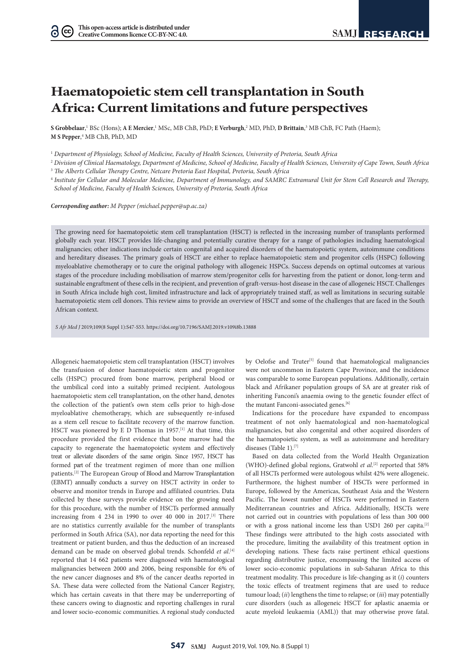# **Haematopoietic stem cell transplantation in South Africa: Current limitations and future perspectives**

 $S$  Grobbelaar,<sup>1</sup> BSc (Hons); A E Mercier,<sup>1</sup> MSc, MB ChB, PhD; E Verburgh,<sup>2</sup> MD, PhD, D Brittain,<sup>3</sup> MB ChB, FC Path (Haem); **M S Pepper**, 4 MB ChB, PhD, MD

<sup>1</sup> *Department of Physiology, School of Medicine, Faculty of Health Sciences, University of Pretoria, South Africa*

<sup>2</sup> *Division of Clinical Haematology, Department of Medicine, School of Medicine, Faculty of Health Sciences, University of Cape Town, South Africa*

<sup>3</sup> *The Alberts Cellular Therapy Centre, Netcare Pretoria East Hospital, Pretoria, South Africa*

<sup>4</sup> *Institute for Cellular and Molecular Medicine, Department of Immunology, and SAMRC Extramural Unit for Stem Cell Research and Therapy, School of Medicine, Faculty of Health Sciences, University of Pretoria, South Africa*

*Corresponding author: M Pepper (michael.pepper@up.ac.za)*

The growing need for haematopoietic stem cell transplantation (HSCT) is reflected in the increasing number of transplants performed globally each year. HSCT provides life-changing and potentially curative therapy for a range of pathologies including haematological malignancies; other indications include certain congenital and acquired disorders of the haematopoietic system, autoimmune conditions and hereditary diseases. The primary goals of HSCT are either to replace haematopoietic stem and progenitor cells (HSPC) following myeloablative chemotherapy or to cure the original pathology with allogeneic HSPCs. Success depends on optimal outcomes at various stages of the procedure including mobilisation of marrow stem/progenitor cells for harvesting from the patient or donor, long-term and sustainable engraftment of these cells in the recipient, and prevention of graft-versus-host disease in the case of allogeneic HSCT. Challenges in South Africa include high cost, limited infrastructure and lack of appropriately trained staff, as well as limitations in securing suitable haematopoietic stem cell donors. This review aims to provide an overview of HSCT and some of the challenges that are faced in the South African context.

*S Afr Med J* 2019;109(8 Suppl 1):S47-S53. https://doi.org/10.7196/SAMJ.2019.v109i8b.13888

Allogeneic haematopoietic stem cell transplantation (HSCT) involves the transfusion of donor haematopoietic stem and progenitor cells (HSPC) procured from bone marrow, peripheral blood or the umbilical cord into a suitably primed recipient. Autologous haematopoietic stem cell transplantation, on the other hand, denotes the collection of the patient's own stem cells prior to high-dose myeloablative chemotherapy, which are subsequently re-infused as a stem cell rescue to facilitate recovery of the marrow function. HSCT was pioneered by E D Thomas in 1957.<sup>[1]</sup> At that time, this procedure provided the first evidence that bone marrow had the capacity to regenerate the haematopoietic system and effectively treat or alleviate disorders of the same origin. Since 1957, HSCT has formed part of the treatment regimen of more than one million patients.[2] The European Group of Blood and Marrow Transplantation (EBMT) annually conducts a survey on HSCT activity in order to observe and monitor trends in Europe and affiliated countries. Data collected by these surveys provide evidence on the growing need for this procedure, with the number of HSCTs performed annually increasing from  $4$  234 in 1990 to over  $40$  000 in 2017.<sup>[3]</sup> There are no statistics currently available for the number of transplants performed in South Africa (SA), nor data reporting the need for this treatment or patient burden, and thus the deduction of an increased demand can be made on observed global trends. Schonfeld *et al*. [4] reported that 14 662 patients were diagnosed with haematological malignancies between 2000 and 2006, being responsible for 6% of the new cancer diagnoses and 8% of the cancer deaths reported in SA. These data were collected from the National Cancer Registry, which has certain caveats in that there may be underreporting of these cancers owing to diagnostic and reporting challenges in rural and lower socio-economic communities. A regional study conducted

by Oelofse and Truter<sup>[5]</sup> found that haematological malignancies were not uncommon in Eastern Cape Province, and the incidence was comparable to some European populations. Additionally, certain black and Afrikaner population groups of SA are at greater risk of inheriting Fanconi's anaemia owing to the genetic founder effect of the mutant Fanconi-associated genes.<sup>[6]</sup>

Indications for the procedure have expanded to encompass treatment of not only haematological and non-haematological malignancies, but also congenital and other acquired disorders of the haematopoietic system, as well as autoimmune and hereditary diseases (Table 1).[7]

Based on data collected from the World Health Organization (WHO)-defined global regions, Gratwohl et al.<sup>[2]</sup> reported that 58% of all HSCTs performed were autologous whilst 42% were allogeneic. Furthermore, the highest number of HSCTs were performed in Europe, followed by the Americas, Southeast Asia and the Western Pacific. The lowest number of HSCTs were performed in Eastern Mediterranean countries and Africa. Additionally, HSCTs were not carried out in countries with populations of less than 300 000 or with a gross national income less than USD1 260 per capita.[2] These findings were attributed to the high costs associated with the procedure, limiting the availability of this treatment option in developing nations. These facts raise pertinent ethical questions regarding distributive justice, encompassing the limited access of lower socio-economic populations in sub-Saharan Africa to this treatment modality. This procedure is life-changing as it (*i*) counters the toxic effects of treatment regimens that are used to reduce tumour load; (*ii*) lengthens the time to relapse; or (*iii*) may potentially cure disorders (such as allogeneic HSCT for aplastic anaemia or acute myeloid leukaemia (AML)) that may otherwise prove fatal.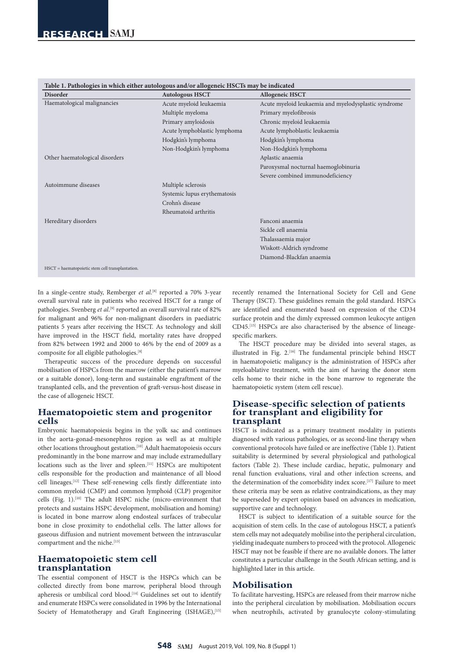| <b>Disorder</b>                                  | <b>Autologous HSCT</b>       | Allogeneic HSCT                                      |
|--------------------------------------------------|------------------------------|------------------------------------------------------|
| Haematological malignancies                      | Acute myeloid leukaemia      | Acute myeloid leukaemia and myelodysplastic syndrome |
|                                                  | Multiple myeloma             | Primary myelofibrosis                                |
|                                                  | Primary amyloidosis          | Chronic myeloid leukaemia                            |
|                                                  | Acute lymphoblastic lymphoma | Acute lymphoblastic leukaemia                        |
|                                                  | Hodgkin's lymphoma           | Hodgkin's lymphoma                                   |
|                                                  | Non-Hodgkin's lymphoma       | Non-Hodgkin's lymphoma                               |
| Other haematological disorders                   |                              | Aplastic anaemia                                     |
|                                                  |                              | Paroxysmal nocturnal haemoglobinuria                 |
|                                                  |                              | Severe combined immunodeficiency                     |
| Autoimmune diseases                              | Multiple sclerosis           |                                                      |
|                                                  | Systemic lupus erythematosis |                                                      |
|                                                  | Crohn's disease              |                                                      |
|                                                  | Rheumatoid arthritis         |                                                      |
| Hereditary disorders                             |                              | Fanconi anaemia                                      |
|                                                  |                              | Sickle cell anaemia                                  |
|                                                  |                              | Thalassaemia major                                   |
|                                                  |                              | Wiskott-Aldrich syndrome                             |
|                                                  |                              | Diamond-Blackfan anaemia                             |
| HSCT = haematopoietic stem cell transplantation. |                              |                                                      |

**Table 1. Pathologies in which either autologous and/or allogeneic HSCTs may be indicated**

In a single-centre study, Remberger *et al*.<sup>[8]</sup> reported a 70% 3-year overall survival rate in patients who received HSCT for a range of pathologies. Svenberg *et al*.<sup>[9]</sup> reported an overall survival rate of 82% for malignant and 96% for non-malignant disorders in paediatric patients 5 years after receiving the HSCT. As technology and skill have improved in the HSCT field, mortality rates have dropped from 82% between 1992 and 2000 to 46% by the end of 2009 as a composite for all eligible pathologies.<sup>[8]</sup>

Therapeutic success of the procedure depends on successful mobilisation of HSPCs from the marrow (either the patient's marrow or a suitable donor), long-term and sustainable engraftment of the transplanted cells, and the prevention of graft-versus-host disease in the case of allogeneic HSCT.

# **Haematopoietic stem and progenitor cells**

Embryonic haematopoiesis begins in the yolk sac and continues in the aorta-gonad-mesonephros region as well as at multiple other locations throughout gestation.[10] Adult haematopoiesis occurs predominantly in the bone marrow and may include extramedullary locations such as the liver and spleen.<sup>[11]</sup> HSPCs are multipotent cells responsible for the production and maintenance of all blood cell lineages.[12] These self-renewing cells firstly differentiate into common myeloid (CMP) and common lymphoid (CLP) progenitor cells (Fig. 1).[10] The adult HSPC niche (micro-environment that protects and sustains HSPC development, mobilisation and homing) is located in bone marrow along endosteal surfaces of trabecular bone in close proximity to endothelial cells. The latter allows for gaseous diffusion and nutrient movement between the intravascular compartment and the niche.<sup>[13]</sup>

# **Haematopoietic stem cell transplantation**

The essential component of HSCT is the HSPCs which can be collected directly from bone marrow, peripheral blood through apheresis or umbilical cord blood.<sup>[14]</sup> Guidelines set out to identify and enumerate HSPCs were consolidated in 1996 by the International Society of Hematotherapy and Graft Engineering (ISHAGE), [15]

recently renamed the International Society for Cell and Gene Therapy (ISCT). These guidelines remain the gold standard. HSPCs are identified and enumerated based on expression of the CD34 surface protein and the dimly expressed common leukocyte antigen CD45.[15] HSPCs are also characterised by the absence of lineagespecific markers.

The HSCT procedure may be divided into several stages, as illustrated in Fig. 2.[16] The fundamental principle behind HSCT in haematopoietic maligancy is the administration of HSPCs after myeloablative treatment, with the aim of having the donor stem cells home to their niche in the bone marrow to regenerate the haematopoietic system (stem cell rescue).

## **Disease-specific selection of patients for transplant and eligibility for transplant**

HSCT is indicated as a primary treatment modality in patients diagnosed with various pathologies, or as second-line therapy when conventional protocols have failed or are ineffective (Table 1). Patient suitability is determined by several physiological and pathological factors (Table 2). These include cardiac, hepatic, pulmonary and renal function evaluations, viral and other infection screens, and the determination of the comorbidity index score.<sup>[17]</sup> Failure to meet these criteria may be seen as relative contraindications, as they may be superseded by expert opinion based on advances in medication, supportive care and technology.

HSCT is subject to identification of a suitable source for the acquisition of stem cells. In the case of autologous HSCT, a patient's stem cells may not adequately mobilise into the peripheral circulation, yielding inadequate numbers to proceed with the protocol. Allogeneic HSCT may not be feasible if there are no available donors. The latter constitutes a particular challenge in the South African setting, and is highlighted later in this article.

#### **Mobilisation**

To facilitate harvesting, HSPCs are released from their marrow niche into the peripheral circulation by mobilisation. Mobilisation occurs when neutrophils, activated by granulocyte colony-stimulating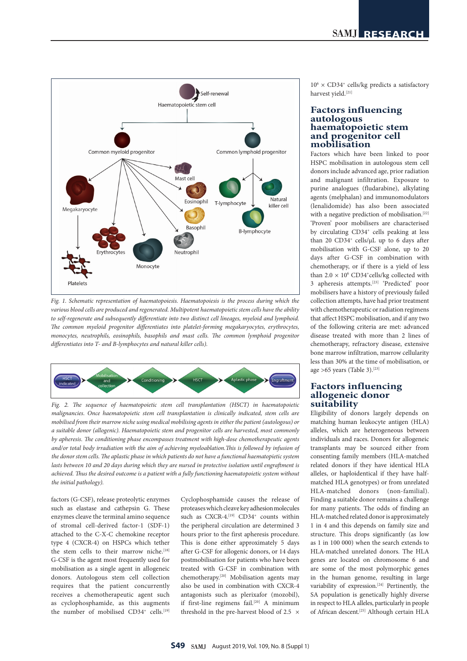

*Fig. 1. Schematic representation of haematopoiesis. Haematopoiesis is the process during which the various blood cells are produced and regenerated. Multipotent haematopoietic stem cells have the ability to self-regenerate and subsequently differentiate into two distinct cell lineages, myeloid and lymphoid. The common myeloid progenitor differentiates into platelet-forming megakaryocytes, erythrocytes, monocytes, neutrophils, eosinophils, basophils and mast cells. The common lymphoid progenitor differentiates into T- and B-lymphocytes and natural killer cells).*



*Fig. 2. The sequence of haematopoietic stem cell transplantation (HSCT) in haematopoietic malignancies. Once haematopoietic stem cell transplantation is clinically indicated, stem cells are mobilised from their marrow niche using medical mobilising agents in either the patient (autologous) or a suitable donor (allogenic). Haematopoietic stem and progenitor cells are harvested, most commonly by apheresis. The conditioning phase encompasses treatment with high-dose chemotherapeutic agents and/or total body irradiation with the aim of achieving myeloablation.This is followed by infusion of the donor stem cells. The aplastic phase in which patients do not have a functional haematopietic system lasts between 10 and 20 days during which they are nursed in protective isolation until engraftment is achieved. Thus the desired outcome is a patient with a fully functioning haematopoietic system without the initial pathology).*

factors (G-CSF), release proteolytic enzymes such as elastase and cathepsin G. These enzymes cleave the terminal amino sequence of stromal cell-derived factor-1 (SDF-1) attached to the C-X-C chemokine receptor type 4 (CXCR-4) on HSPCs which tether the stem cells to their marrow niche.[18] G-CSF is the agent most frequently used for mobilisation as a single agent in allogeneic donors. Autologous stem cell collection requires that the patient concurrently receives a chemotherapeutic agent such as cyclophosphamide, as this augments the number of mobilised CD34<sup>+</sup> cells.<sup>[19]</sup>

Cyclophosphamide causes the release of proteases which cleave key adhesion molecules such as CXCR-4.<sup>[19]</sup> CD34<sup>+</sup> counts within the peripheral circulation are determined 3 hours prior to the first apheresis procedure. This is done either approximately 5 days after G-CSF for allogenic donors, or 14 days postmobilisation for patients who have been treated with G-CSF in combination with chemotherapy.[20] Mobilisation agents may also be used in combination with CXCR-4 antagonists such as plerixafor (mozobil), if first-line regimens fail.[20] A minimum threshold in the pre-harvest blood of 2.5 ×

 $10^6 \times$  CD34<sup>+</sup> cells/kg predicts a satisfactory harvest yield.<sup>[21]</sup>

## **Factors influencing autologous haematopoietic stem and progenitor cell mobilisation**

Factors which have been linked to poor HSPC mobilisation in autologous stem cell donors include advanced age, prior radiation and malignant infiltration. Exposure to purine analogues (fludarabine), alkylating agents (melphalan) and immunomodulators (lenalidomide) has also been associated with a negative prediction of mobilisation.<sup>[22]</sup> 'Proven' poor mobilisers are characterised by circulating CD34+ cells peaking at less than 20  $CD34$ <sup>+</sup> cells/ $\mu$ L up to 6 days after mobilisation with G-CSF alone, up to 20 days after G-CSF in combination with chemotherapy, or if there is a yield of less than  $2.0 \times 10^6$  CD34<sup>+</sup>cells/kg collected with 3 apheresis attempts.[23] 'Predicted' poor mobilisers have a history of previously failed collection attempts, have had prior treatment with chemotherapeutic or radiation regimens that affect HSPC mobilisation, and if any two of the following criteria are met: advanced disease treated with more than 2 lines of chemotherapy, refractory disease, extensive bone marrow infiltration, marrow cellularity less than 30% at the time of mobilisation, or age >65 years (Table 3).<sup>[23]</sup>

## **Factors influencing allogeneic donor suitability**

Eligibility of donors largely depends on matching human leukocyte antigen (HLA) alleles, which are heterogeneous between individuals and races. Donors for allogeneic transplants may be sourced either from consenting family members (HLA-matched related donors if they have identical HLA alleles, or haploidentical if they have halfmatched HLA genotypes) or from unrelated HLA-matched donors (non-familial). Finding a suitable donor remains a challenge for many patients. The odds of finding an HLA-matched related donor is approximately 1 in 4 and this depends on family size and structure. This drops significantly (as low as 1 in 100 000) when the search extends to HLA-matched unrelated donors. The HLA genes are located on chromosome 6 and are some of the most polymorphic genes in the human genome, resulting in large variability of expression.<sup>[24]</sup> Pertinently, the SA population is genetically highly diverse in respect to HLA alleles, particularly in people of African descent.[25] Although certain HLA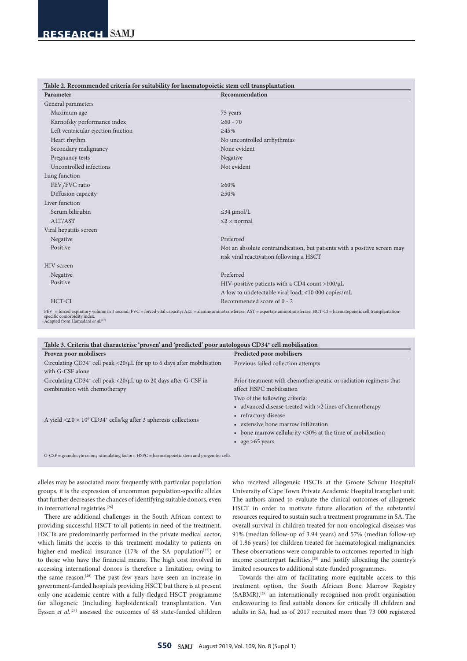| Parameter                          | Recommendation                                                                                                                                                                           |
|------------------------------------|------------------------------------------------------------------------------------------------------------------------------------------------------------------------------------------|
| General parameters                 |                                                                                                                                                                                          |
| Maximum age                        | 75 years                                                                                                                                                                                 |
| Karnofsky performance index        | $\geq 60 - 70$                                                                                                                                                                           |
| Left ventricular ejection fraction | $\geq 45\%$                                                                                                                                                                              |
| Heart rhythm                       | No uncontrolled arrhythmias                                                                                                                                                              |
| Secondary malignancy               | None evident                                                                                                                                                                             |
| Pregnancy tests                    | Negative                                                                                                                                                                                 |
| Uncontrolled infections            | Not evident                                                                                                                                                                              |
| Lung function                      |                                                                                                                                                                                          |
| FEV <sub>1</sub> /FVC ratio        | $\geq 60\%$                                                                                                                                                                              |
| Diffusion capacity                 | $\geq 50\%$                                                                                                                                                                              |
| Liver function                     |                                                                                                                                                                                          |
| Serum bilirubin                    | $\leq$ 34 µmol/L                                                                                                                                                                         |
| ALT/AST                            | $\leq$ 2 $\times$ normal                                                                                                                                                                 |
| Viral hepatitis screen             |                                                                                                                                                                                          |
| Negative                           | Preferred                                                                                                                                                                                |
| Positive                           | Not an absolute contraindication, but patients with a positive screen may                                                                                                                |
|                                    | risk viral reactivation following a HSCT                                                                                                                                                 |
| HIV screen                         |                                                                                                                                                                                          |
| Negative                           | Preferred                                                                                                                                                                                |
| Positive                           | HIV-positive patients with a CD4 count >100/µL                                                                                                                                           |
|                                    | A low to undetectable viral load, <10 000 copies/mL                                                                                                                                      |
| HCT-CI                             | Recommended score of 0 - 2                                                                                                                                                               |
| specific comorbidity index.        | FEV = forced expiratory volume in 1 second; FVC = forced vital capacity; ALT = alanine aminotransferase; AST = aspartate aminotransferase; HCT-CI = haematopoietic cell transplantation- |

specific comorbidity index. Adapted from Hamadani *et al*. [17]

#### **Table 3. Criteria that characterise 'proven' and 'predicted' poor autologous CD34+ cell mobilisation**

| Proven poor mobilisers                                                                  | Predicted poor mobilisers                                        |
|-----------------------------------------------------------------------------------------|------------------------------------------------------------------|
| Circulating $CD34^+$ cell peak $\langle 20/\mu L$ for up to 6 days after mobilisation   | Previous failed collection attempts                              |
| with G-CSF alone                                                                        |                                                                  |
| Circulating $CD34^+$ cell peak $\langle 20/\mu L \rangle$ up to 20 days after G-CSF in  | Prior treatment with chemotherapeutic or radiation regimens that |
| combination with chemotherapy                                                           | affect HSPC mobilisation                                         |
|                                                                                         | Two of the following criteria:                                   |
|                                                                                         | • advanced disease treated with >2 lines of chemotherapy         |
| A yield $\langle 2.0 \times 10^6 \text{ CD34}^+$ cells/kg after 3 apheresis collections | • refractory disease                                             |
|                                                                                         | extensive bone marrow infiltration                               |
|                                                                                         | • bone marrow cellularity <30% at the time of mobilisation       |
|                                                                                         | • age $>65$ years                                                |
|                                                                                         |                                                                  |

 $\operatorname{G-CSF}$  = granulocyte colony-stimulating factors;  $\operatorname{HSPC}$  = haematopoietic stem and progenitor cells.

alleles may be associated more frequently with particular population groups, it is the expression of uncommon population-specific alleles that further decreases the chances of identifying suitable donors, even in international registries.<sup>[26]</sup>

There are additional challenges in the South African context to providing successful HSCT to all patients in need of the treatment. HSCTs are predominantly performed in the private medical sector, which limits the access to this treatment modality to patients on higher-end medical insurance (17% of the SA population<sup>[27]</sup>) or to those who have the financial means. The high cost involved in accessing international donors is therefore a limitation, owing to the same reason.[28] The past few years have seen an increase in government-funded hospitals providing HSCT, but there is at present only one academic centre with a fully-fledged HSCT programme for allogeneic (including haploidentical) transplantation. Van Eyssen *et al.*<sup>[28]</sup> assessed the outcomes of 48 state-funded children

who received allogeneic HSCTs at the Groote Schuur Hospital/ University of Cape Town Private Academic Hospital transplant unit. The authors aimed to evaluate the clinical outcomes of allogeneic HSCT in order to motivate future allocation of the substantial resources required to sustain such a treatment programme in SA. The overall survival in children treated for non-oncological diseases was 91% (median follow-up of 3.94 years) and 57% (median follow-up of 1.86 years) for children treated for haematological malignancies. These observations were comparable to outcomes reported in highincome counterpart facilities,[28] and justify allocating the country's limited resources to additional state-funded programmes.

Towards the aim of facilitating more equitable access to this treatment option, the South African Bone Marrow Registry (SABMR),[29] an internationally recognised non-profit organisation endeavouring to find suitable donors for critically ill children and adults in SA, had as of 2017 recruited more than 73 000 registered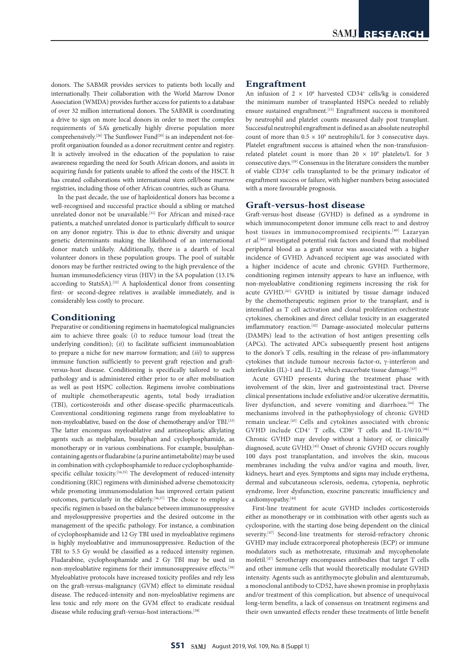donors. The SABMR provides services to patients both locally and internationally. Their collaboration with the World Marrow Donor Association (WMDA) provides further access for patients to a database of over 32 million international donors. The SABMR is coordinating a drive to sign on more local donors in order to meet the complex requirements of SA's genetically highly diverse population more comprehensively.[26] The Sunflower Fund[30] is an independent not-forprofit organisation founded as a donor recruitment centre and registry. It is actively involved in the education of the population to raise awareness regarding the need for South African donors, and assists in acquiring funds for patients unable to afford the costs of the HSCT. It has created collaborations with international stem cell/bone marrow registries, including those of other African countries, such as Ghana.

In the past decade, the use of haploidentical donors has become a well-recognised and successful practice should a sibling or matched unrelated donor not be unavailable.<sup>[31]</sup> For African and mixed-race patients, a matched unrelated donor is particularly difficult to source on any donor registry. This is due to ethnic diversity and unique genetic determinants making the likelihood of an international donor match unlikely. Additionally, there is a dearth of local volunteer donors in these population groups. The pool of suitable donors may be further restricted owing to the high prevalence of the human immunodeficiency virus (HIV) in the SA population (13.1% according to StatsSA).<sup>[32]</sup> A haploidentical donor from consenting first- or second-degree relatives is available immediately, and is considerably less costly to procure.

# **Conditioning**

Preparative or conditioning regimens in haematological malignancies aim to achieve three goals: (*i*) to reduce tumour load (treat the underlying condition); (*ii*) to facilitate sufficient immunoablation to prepare a niche for new marrow formation; and (*iii*) to suppress immune function sufficiently to prevent graft rejection and graftversus-host disease. Conditioning is specifically tailored to each pathology and is administered either prior to or after mobilisation as well as post HSPC collection. Regimens involve combinations of multiple chemotherapeutic agents, total body irradiation (TBI), corticosteroids and other disease-specific pharmaceuticals. Conventional conditioning regimens range from myeloablative to non-myeloablative, based on the dose of chemotherapy and/or TBI.<sup>[33]</sup> The latter encompass myeloablative and antineoplastic alkylating agents such as melphalan, busulphan and cyclophosphamide, as monotherapy or in various combinations. For example, busulphancontaining agents or fludarabine (a purine antimetabolite) may be used in combination with cyclophosphamide to reduce cyclophosphamidespecific cellular toxicity.<sup>[34,35]</sup> The development of reduced-intensity conditioning (RIC) regimens with diminished adverse chemotoxicity while promoting immunomodulation has improved certain patient outcomes, particularly in the elderly.[36,37] The choice to employ a specific regimen is based on the balance between immunosuppressive and myelosuppressive properties and the desired outcome in the management of the specific pathology. For instance, a combination of cyclophosphamide and 12 Gy TBI used in myeloablative regimens is highly myeloablative and immunosuppressive. Reduction of the TBI to 5.5 Gy would be classified as a reduced intensity regimen. Fludarabine, cyclophosphamide and 2 Gy TBI may be used in non-myeloablative regimens for their immunosuppressive effects.<sup>[38]</sup> Myeloablative protocols have increased toxicity profiles and rely less on the graft-versus-malignancy (GVM) effect to eliminate residual disease. The reduced-intensity and non-myeloablative regimens are less toxic and rely more on the GVM effect to eradicate residual disease while reducing graft-versus-host interactions.<sup>[38]</sup>

### **Engraftment**

An infusion of  $2 \times 10^6$  harvested CD34<sup>+</sup> cells/kg is considered the minimum number of transplanted HSPCs needed to reliably ensure sustained engraftment.<sup>[15]</sup> Engraftment success is monitored by neutrophil and platelet counts measured daily post transplant. Successful neutrophil engraftment is defined as an absolute neutrophil count of more than  $0.5 \times 10^9$  neutrophils/L for 3 consecutive days. Platelet engraftment success is attained when the non-transfusionrelated platelet count is more than  $20 \times 10^9$  platelets/L for 3 consecutive days.[39] Consensus in the literature considers the number of viable CD34<sup>+</sup> cells transplanted to be the primary indicator of engraftment success or failure, with higher numbers being associated with a more favourable prognosis.

## **Graft-versus-host disease**

Graft-versus-host disease (GVHD) is defined as a syndrome in which immunocompetent donor immune cells react to and destroy host tissues in immunocompromised recipients.<sup>[40]</sup> Lazaryan et al.<sup>[41]</sup> investigated potential risk factors and found that mobilised peripheral blood as a graft source was associated with a higher incidence of GVHD. Advanced recipient age was associated with a higher incidence of acute and chronic GVHD. Furthermore, conditioning regimen intensity appears to have an influence, with non-myeloablative conditioning regimens increasing the risk for acute GVHD.<sup>[41]</sup> GVHD is initiated by tissue damage induced by the chemotherapeutic regimen prior to the transplant, and is intensified as T cell activation and clonal proliferation orchestrate cytokines, chemokines and direct cellular toxicity in an exaggerated imflammatory reaction.<sup>[42]</sup> Damage-associated molecular patterns (DAMPs) lead to the activation of host antigen presenting cells (APCs). The activated APCs subsequently present host antigens to the donor's T cells, resulting in the release of pro-inflammatory cytokines that include tumour necrosis factor- $\alpha$ ,  $\gamma$ -interferon and interleukin (IL)-1 and IL-12, which exacerbate tissue damage.<sup>[43]</sup>

Acute GVHD presents during the treatment phase with involvement of the skin, liver and gastrointestinal tract. Diverse clinical presentations include exfoliative and/or ulcerative dermatitis, liver dysfunction, and severe vomiting and diarrhoea.<sup>[44]</sup> The mechanisms involved in the pathophysiology of chronic GVHD remain unclear.[45] Cells and cytokines associated with chronic GVHD include CD4+ T cells, CD8+ T cells and IL-1/6/10.[46] Chronic GVHD may develop without a history of, or clinically diagnosed, acute GVHD.[45] Onset of chronic GVHD occurs roughly 100 days post transplantation, and involves the skin, mucous membranes including the vulva and/or vagina and mouth, liver, kidneys, heart and eyes. Symptoms and signs may include erythema, dermal and subcutaneous sclerosis, oedema, cytopenia, nephrotic syndrome, liver dysfunction, exocrine pancreatic insufficiency and cardiomyopathy.[44]

First-line treatment for acute GVHD includes corticosteroids either as monotherapy or in combination with other agents such as cyclosporine, with the starting dose being dependent on the clinical severity.<sup>[47]</sup> Second-line treatments for steroid-refractory chronic GVHD may include extracorporeal photopheresis (ECP) or immune modulators such as methotrexate, rituximab and mycophenolate mofetil.[47] Serotherapy encompasses antibodies that target T cells and other immune cells that would theoretically modulate GVHD intensity. Agents such as antithymocyte globulin and alemtuzumab, a monoclonal antibody to CD52, have shown promise in prophylaxis and/or treatment of this complication, but absence of unequivocal long-term benefits, a lack of consensus on treatment regimens and their own unwanted effects render these treatments of little benefit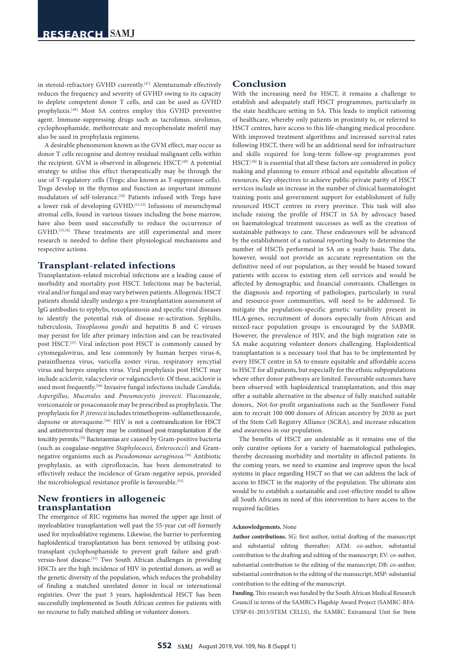in steroid-refractory GVHD currently.<sup>[47]</sup> Alemtuzumab effectively reduces the frequency and severity of GVHD owing to its capacity to deplete competent donor T cells, and can be used as GVHD prophylaxis.[48] Most SA centres employ this GVHD preventive agent. Immune-suppressing drugs such as tacrolimus, sirolimus, cyclophosphamide, methotrexate and mycophenolate mofetil may also be used in prophylaxis regimens.

A desirable phenomenon known as the GVM effect, may occur as donor T cells recognise and destroy residual malignant cells within the recipient. GVM is observed in allogeneic HSCT.<sup>[49]</sup> A potential strategy to utilise this effect therapeutically may be through the use of T-regulatory cells (Tregs; also known as T-suppressor cells). Tregs develop in the thymus and function as important immune modulators of self-tolerance.<sup>[50]</sup> Patients infused with Tregs have a lower risk of developing GVHD.<sup>[51,52]</sup> Infusions of mesenchymal stromal cells, found in various tissues including the bone marrow, have also been used successfully to reduce the occurrence of GVHD.<sup>[53,54]</sup> These treatments are still experimental and more research is needed to define their physiological mechanisms and respective actions.

#### **Transplant-related infections**

Transplantation-related microbial infections are a leading cause of morbidity and mortality post HSCT. Infections may be bacterial, viral and/or fungal and may vary between patients. Allogeneic HSCT patients should ideally undergo a pre-transplantation assessment of IgG antibodies to syphylis, toxoplasmosis and specific viral diseases to identify the potential risk of disease re-activation. Syphilis, tuberculosis, *Toxoplasma gondii* and hepatitis B and C viruses may persist for life after primary infection and can be reactivated post HSCT.[55] Viral infection post HSCT is commonly caused by cytomegalovirus, and less commonly by human herpes virus-6, parainfluenza virus, varicella zoster virus, respiratory syncytial virus and herpes simplex virus. Viral prophylaxis post HSCT may include aciclovir, valacyclovir or valganciclovir. Of these, aciclovir is used most frequently.[56] Invasive fungal infections include *Candida*, *Aspergillus*, *Mucorales* and *Pneumocystis jirovecii*. Fluconazole, voriconazole or posaconazole may be prescribed as prophylaxis. The prophylaxis for *P. jirovecii* includes trimethoprim-sulfamethoxazole, dapsone or atovaquone.<sup>[56]</sup> HIV is not a contraindication for HSCT and antiretroviral therapy may be continued post-transplantation if the toxcitity permits.[55] Bacteraemias are caused by Gram-positive bacteria (such as coagulase-negative *Staphylococci, Enterococci*) and Gramnegative organisms such as *Pseudomonas aeruginosa.*[56] Antibiotic prophylaxis, as with ciprofloxacin, has been demonstrated to effectively reduce the incidence of Gram-negative sepsis, provided the microbiological resistance profile is favourable.<sup>[55]</sup>

# **New frontiers in allogeneic transplantation**

The emergence of RIC regimens has moved the upper age limit of myeloablative transplantation well past the 55-year cut-off formerly used for myeloablative regimens. Likewise, the barrier to performing haploidentical transplantation has been removed by utilising posttransplant cyclophosphamide to prevent graft failure and graftversus-host disease.[57] Two South African challenges in providing HSCTs are the high incidence of HIV in potential donors, as well as the genetic diversity of the population, which reduces the probability of finding a matched unrelated donor in local or international registries. Over the past 3 years, haploidentical HSCT has been successfully implemented in South African centres for patients with no recourse to fully matched sibling or volunteer donors.

# **Conclusion**

With the increasing need for HSCT, it remains a challenge to establish and adequately staff HSCT programmes, particularly in the state healthcare setting in SA. This leads to implicit rationing of healthcare, whereby only patients in proximity to, or referred to HSCT centres, have access to this life-changing medical procedure. With improved treatment algorithms and increased survival rates following HSCT, there will be an additional need for infrastructure and skills required for long-term follow-up programmes post HSCT.[58] It is essential that all these factors are considered in policy making and planning to ensure ethical and equitable allocation of resources. Key objectives to achieve public-private parity of HSCT services include an increase in the number of clinical haematologist training posts and government support for establishment of fully resourced HSCT centres in every province. This task will also include raising the profile of HSCT in SA by advocacy based on haematological treatment successes as well as the creation of sustainable pathways to care. These endeavours will be advanced by the establishment of a national reporting body to determine the number of HSCTs performed in SA on a yearly basis. The data, however, would not provide an accurate representation on the definitive need of our population, as they would be biased toward patients with access to existing stem cell services and would be affected by demographic and financial constraints. Challenges in the diagnosis and reporting of pathologies, particularly in rural and resource-poor communities, will need to be addressed. To mitigate the population-specific genetic variability present in HLA-genes, recruitment of donors especially from African and mixed-race population groups is encouraged by the SABMR. However, the prevalence of HIV, and the high migration rate in SA make acquiring volunteer donors challenging. Haploidentical transplantation is a necessary tool that has to be implemented by every HSCT centre in SA to ensure equitable and affordable access to HSCT for all patients, but especially for the ethnic subpopulations where other donor pathways are limited. Favourable outcomes have been observed with haploidentical transplantation, and this may offer a suitable alternative in the absence of fully matched suitable donors,. Not-for-profit organisations such as the Sunflower Fund aim to recruit 100 000 donors of African ancestry by 2030 as part of the Stem Cell Registry Alliance (SCRA), and increase education and awareness in our population.

The benefits of HSCT are undeniable as it remains one of the only curative options for a variety of haematological pathologies, thereby decreasing morbidity and mortality in affected patients. In the coming years, we need to examine and improve upon the local systems in place regarding HSCT so that we can address the lack of access to HSCT in the majority of the population. The ultimate aim would be to establish a sustainable and cost-effective model to allow all South Africans in need of this intervention to have access to the required facilities.

#### **Acknowledgements.** None

**Author contributions.** SG: first author, initial drafting of the manuscript and substantial editing thereafter; AEM: co-author, substantial contribution to the drafting and editing of the manuscript; EV: co-author, substantial contribution to the editing of the manuscript; DB: co-author, substantial contribution to the editing of the manuscript; MSP: substantial contribution to the editing of the manuscript.

**Funding.** This research was funded by the South African Medical Research Council in terms of the SAMRC's Flagship Award Project (SAMRC-RFA-UFSP-01-2013/STEM CELLS), the SAMRC Extramural Unit for Stem